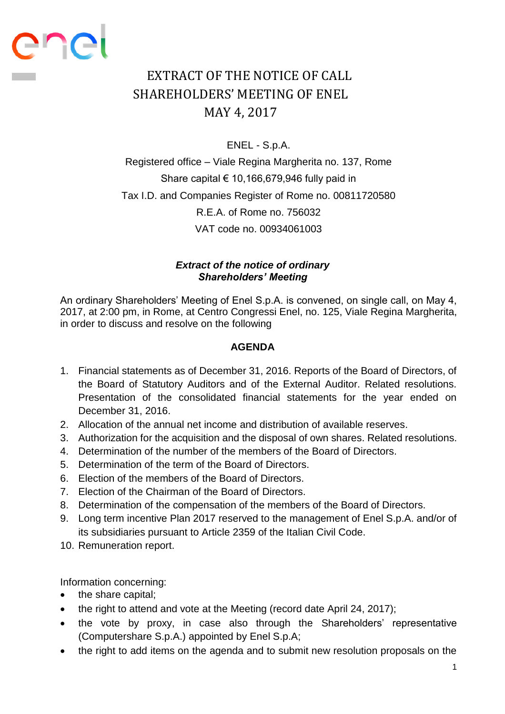## EXTRACT OF THE NOTICE OF CALL SHAREHOLDERS' MEETING OF ENEL MAY 4, 2017

ENEL - S.p.A.

Registered office – Viale Regina Margherita no. 137, Rome Share capital  $\epsilon$  10,166,679,946 fully paid in Tax I.D. and Companies Register of Rome no. 00811720580 R.E.A. of Rome no. 756032 VAT code no. 00934061003

## *Extract of the notice of ordinary Shareholders' Meeting*

An ordinary Shareholders' Meeting of Enel S.p.A. is convened, on single call, on May 4, 2017, at 2:00 pm, in Rome, at Centro Congressi Enel, no. 125, Viale Regina Margherita, in order to discuss and resolve on the following

## **AGENDA**

- 1. Financial statements as of December 31, 2016. Reports of the Board of Directors, of the Board of Statutory Auditors and of the External Auditor. Related resolutions. Presentation of the consolidated financial statements for the year ended on December 31, 2016.
- 2. Allocation of the annual net income and distribution of available reserves.
- 3. Authorization for the acquisition and the disposal of own shares. Related resolutions.
- 4. Determination of the number of the members of the Board of Directors.
- 5. Determination of the term of the Board of Directors.
- 6. Election of the members of the Board of Directors.
- 7. Election of the Chairman of the Board of Directors.
- 8. Determination of the compensation of the members of the Board of Directors.
- 9. Long term incentive Plan 2017 reserved to the management of Enel S.p.A. and/or of its subsidiaries pursuant to Article 2359 of the Italian Civil Code.
- 10. Remuneration report.

Information concerning:

• the share capital;

enei

- the right to attend and vote at the Meeting (record date April 24, 2017);
- the vote by proxy, in case also through the Shareholders' representative (Computershare S.p.A.) appointed by Enel S.p.A;
- the right to add items on the agenda and to submit new resolution proposals on the